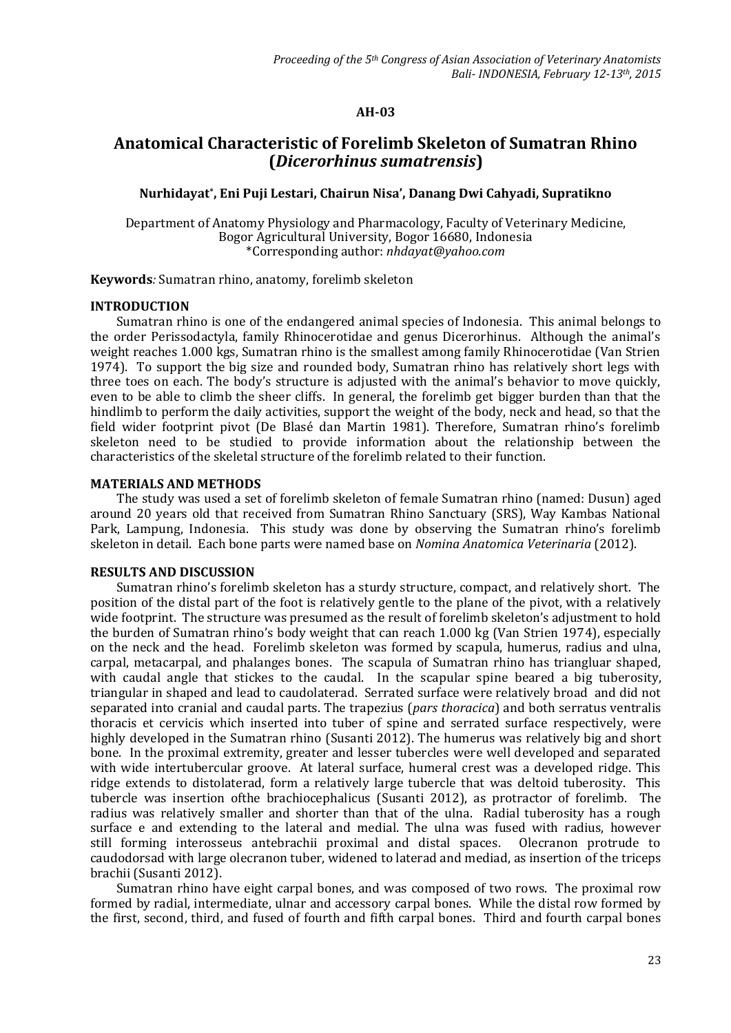## **AH-03**

# **Anatomical Characteristic of Forelimb Skeleton of Sumatran Rhino (***Dicerorhinus sumatrensis***)**

# **Nurhidayat\* , Eni Puji Lestari, Chairun Nisa', Danang Dwi Cahyadi, Supratikno**

Department of Anatomy Physiology and Pharmacology, Faculty of Veterinary Medicine, Bogor Agricultural University, Bogor 16680, Indonesia \*Corresponding author: *[nhdayat@yahoo.com](mailto:*nhdayat@yahoo.com)*

**Keywords***:* Sumatran rhino, anatomy, forelimb skeleton

#### **INTRODUCTION**

Sumatran rhino is one of the endangered animal species of Indonesia. This animal belongs to the order Perissodactyla, family Rhinocerotidae and genus Dicerorhinus. Although the animal's weight reaches 1.000 kgs, Sumatran rhino is the smallest among family Rhinocerotidae (Van Strien 1974). To support the big size and rounded body, Sumatran rhino has relatively short legs with three toes on each. The body's structure is adjusted with the animal's behavior to move quickly, even to be able to climb the sheer cliffs. In general, the forelimb get bigger burden than that the hindlimb to perform the daily activities, support the weight of the body, neck and head, so that the field wider footprint pivot (De Blasé dan Martin 1981). Therefore, Sumatran rhino's forelimb skeleton need to be studied to provide information about the relationship between the characteristics of the skeletal structure of the forelimb related to their function.

## **MATERIALS AND METHODS**

The study was used a set of forelimb skeleton of female Sumatran rhino (named: Dusun) aged around 20 years old that received from Sumatran Rhino Sanctuary (SRS), Way Kambas National Park, Lampung, Indonesia. This study was done by observing the Sumatran rhino's forelimb skeleton in detail. Each bone parts were named base on *Nomina Anatomica Veterinaria* (2012).

#### **RESULTS AND DISCUSSION**

Sumatran rhino's forelimb skeleton has a sturdy structure, compact, and relatively short. The position of the distal part of the foot is relatively gentle to the plane of the pivot, with a relatively wide footprint. The structure was presumed as the result of forelimb skeleton's adjustment to hold the burden of Sumatran rhino's body weight that can reach 1.000 kg (Van Strien 1974), especially on the neck and the head. Forelimb skeleton was formed by scapula, humerus, radius and ulna, carpal, metacarpal, and phalanges bones. The scapula of Sumatran rhino has triangluar shaped, with caudal angle that stickes to the caudal. In the scapular spine beared a big tuberosity, triangular in shaped and lead to caudolaterad. Serrated surface were relatively broad and did not separated into cranial and caudal parts. The trapezius (*pars thoracica*) and both serratus ventralis thoracis et cervicis which inserted into tuber of spine and serrated surface respectively, were highly developed in the Sumatran rhino (Susanti 2012). The humerus was relatively big and short bone. In the proximal extremity, greater and lesser tubercles were well developed and separated with wide intertubercular groove. At lateral surface, humeral crest was a developed ridge. This ridge extends to distolaterad, form a relatively large tubercle that was deltoid tuberosity. This tubercle was insertion ofthe brachiocephalicus (Susanti 2012), as protractor of forelimb. The radius was relatively smaller and shorter than that of the ulna. Radial tuberosity has a rough surface e and extending to the lateral and medial. The ulna was fused with radius, however still forming interosseus antebrachii proximal and distal spaces. Olecranon protrude to caudodorsad with large olecranon tuber, widened to laterad and mediad, as insertion of the triceps brachii (Susanti 2012).

Sumatran rhino have eight carpal bones, and was composed of two rows. The proximal row formed by radial, intermediate, ulnar and accessory carpal bones. While the distal row formed by the first, second, third, and fused of fourth and fifth carpal bones. Third and fourth carpal bones